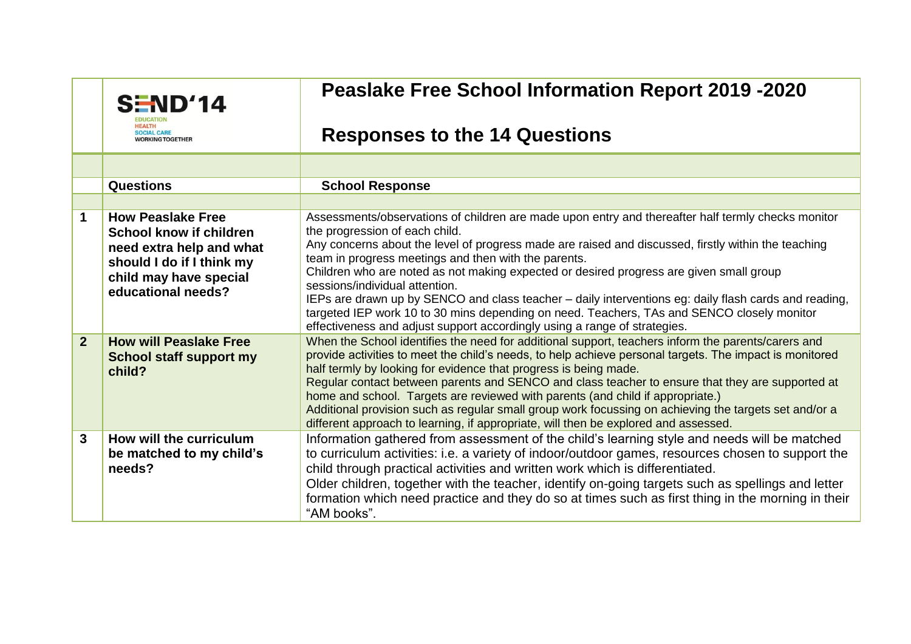|                | S/ND'14                                                                         | <b>Peaslake Free School Information Report 2019 -2020</b>                                                                                                                                                                                                                                                                                                                                                                                                                                                                                                                                                                                                               |
|----------------|---------------------------------------------------------------------------------|-------------------------------------------------------------------------------------------------------------------------------------------------------------------------------------------------------------------------------------------------------------------------------------------------------------------------------------------------------------------------------------------------------------------------------------------------------------------------------------------------------------------------------------------------------------------------------------------------------------------------------------------------------------------------|
|                | <b>SOCIAL CARE</b><br><b>NORKING TOGETHER</b>                                   | <b>Responses to the 14 Questions</b>                                                                                                                                                                                                                                                                                                                                                                                                                                                                                                                                                                                                                                    |
|                |                                                                                 |                                                                                                                                                                                                                                                                                                                                                                                                                                                                                                                                                                                                                                                                         |
|                | <b>Questions</b>                                                                | <b>School Response</b>                                                                                                                                                                                                                                                                                                                                                                                                                                                                                                                                                                                                                                                  |
|                |                                                                                 |                                                                                                                                                                                                                                                                                                                                                                                                                                                                                                                                                                                                                                                                         |
| $\mathbf 1$    | <b>How Peaslake Free</b><br>School know if children<br>need extra help and what | Assessments/observations of children are made upon entry and thereafter half termly checks monitor<br>the progression of each child.<br>Any concerns about the level of progress made are raised and discussed, firstly within the teaching<br>team in progress meetings and then with the parents.                                                                                                                                                                                                                                                                                                                                                                     |
|                | should I do if I think my<br>child may have special<br>educational needs?       | Children who are noted as not making expected or desired progress are given small group<br>sessions/individual attention.<br>IEPs are drawn up by SENCO and class teacher – daily interventions eg: daily flash cards and reading,<br>targeted IEP work 10 to 30 mins depending on need. Teachers, TAs and SENCO closely monitor<br>effectiveness and adjust support accordingly using a range of strategies.                                                                                                                                                                                                                                                           |
| $\overline{2}$ | <b>How will Peaslake Free</b><br><b>School staff support my</b><br>child?       | When the School identifies the need for additional support, teachers inform the parents/carers and<br>provide activities to meet the child's needs, to help achieve personal targets. The impact is monitored<br>half termly by looking for evidence that progress is being made.<br>Regular contact between parents and SENCO and class teacher to ensure that they are supported at<br>home and school. Targets are reviewed with parents (and child if appropriate.)<br>Additional provision such as regular small group work focussing on achieving the targets set and/or a<br>different approach to learning, if appropriate, will then be explored and assessed. |
| 3              | How will the curriculum<br>be matched to my child's<br>needs?                   | Information gathered from assessment of the child's learning style and needs will be matched<br>to curriculum activities: i.e. a variety of indoor/outdoor games, resources chosen to support the<br>child through practical activities and written work which is differentiated.<br>Older children, together with the teacher, identify on-going targets such as spellings and letter<br>formation which need practice and they do so at times such as first thing in the morning in their<br>"AM books".                                                                                                                                                              |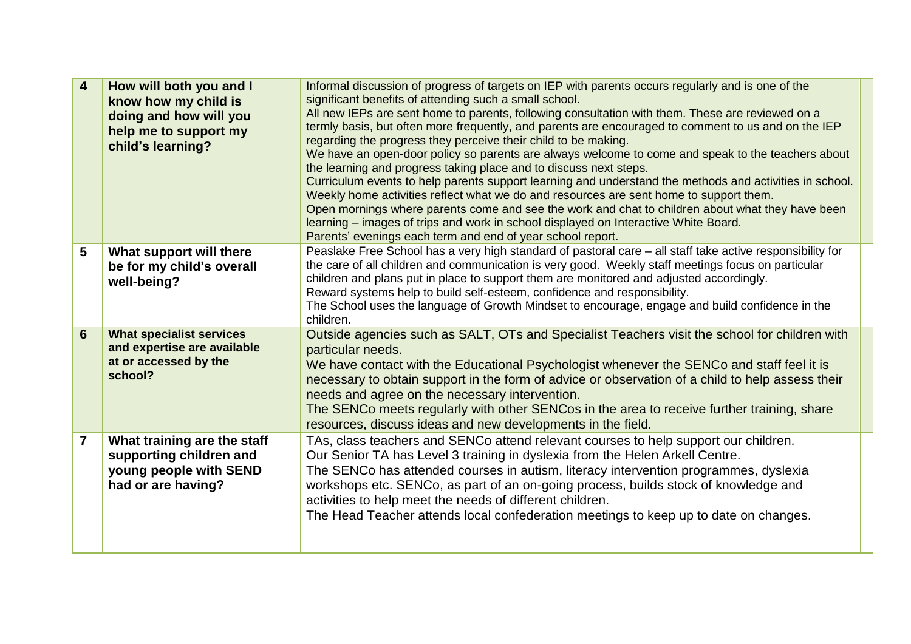| $\overline{\mathbf{4}}$ | How will both you and I<br>know how my child is<br>doing and how will you<br>help me to support my<br>child's learning? | Informal discussion of progress of targets on IEP with parents occurs regularly and is one of the<br>significant benefits of attending such a small school.<br>All new IEPs are sent home to parents, following consultation with them. These are reviewed on a<br>termly basis, but often more frequently, and parents are encouraged to comment to us and on the IEP<br>regarding the progress they perceive their child to be making.<br>We have an open-door policy so parents are always welcome to come and speak to the teachers about<br>the learning and progress taking place and to discuss next steps.<br>Curriculum events to help parents support learning and understand the methods and activities in school.<br>Weekly home activities reflect what we do and resources are sent home to support them.<br>Open mornings where parents come and see the work and chat to children about what they have been<br>learning – images of trips and work in school displayed on Interactive White Board.<br>Parents' evenings each term and end of year school report. |
|-------------------------|-------------------------------------------------------------------------------------------------------------------------|----------------------------------------------------------------------------------------------------------------------------------------------------------------------------------------------------------------------------------------------------------------------------------------------------------------------------------------------------------------------------------------------------------------------------------------------------------------------------------------------------------------------------------------------------------------------------------------------------------------------------------------------------------------------------------------------------------------------------------------------------------------------------------------------------------------------------------------------------------------------------------------------------------------------------------------------------------------------------------------------------------------------------------------------------------------------------------|
| 5                       | What support will there<br>be for my child's overall<br>well-being?                                                     | Peaslake Free School has a very high standard of pastoral care – all staff take active responsibility for<br>the care of all children and communication is very good. Weekly staff meetings focus on particular<br>children and plans put in place to support them are monitored and adjusted accordingly.<br>Reward systems help to build self-esteem, confidence and responsibility.<br>The School uses the language of Growth Mindset to encourage, engage and build confidence in the<br>children.                                                                                                                                                                                                                                                                                                                                                                                                                                                                                                                                                                           |
| $6\phantom{1}$          | <b>What specialist services</b><br>and expertise are available<br>at or accessed by the<br>school?                      | Outside agencies such as SALT, OTs and Specialist Teachers visit the school for children with<br>particular needs.<br>We have contact with the Educational Psychologist whenever the SENCo and staff feel it is<br>necessary to obtain support in the form of advice or observation of a child to help assess their<br>needs and agree on the necessary intervention.<br>The SENCo meets regularly with other SENCos in the area to receive further training, share<br>resources, discuss ideas and new developments in the field.                                                                                                                                                                                                                                                                                                                                                                                                                                                                                                                                               |
| $\overline{7}$          | What training are the staff<br>supporting children and<br>young people with SEND<br>had or are having?                  | TAs, class teachers and SENCo attend relevant courses to help support our children.<br>Our Senior TA has Level 3 training in dyslexia from the Helen Arkell Centre.<br>The SENCo has attended courses in autism, literacy intervention programmes, dyslexia<br>workshops etc. SENCo, as part of an on-going process, builds stock of knowledge and<br>activities to help meet the needs of different children.<br>The Head Teacher attends local confederation meetings to keep up to date on changes.                                                                                                                                                                                                                                                                                                                                                                                                                                                                                                                                                                           |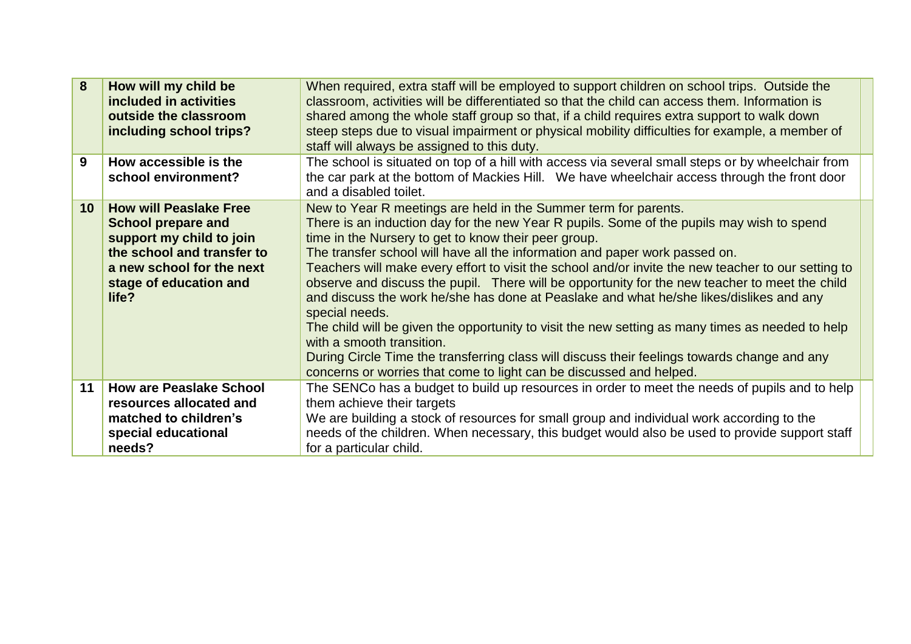| 8               | How will my child be<br>included in activities<br>outside the classroom<br>including school trips?                                                                                   | When required, extra staff will be employed to support children on school trips. Outside the<br>classroom, activities will be differentiated so that the child can access them. Information is<br>shared among the whole staff group so that, if a child requires extra support to walk down<br>steep steps due to visual impairment or physical mobility difficulties for example, a member of<br>staff will always be assigned to this duty.                                                                                                                                                                                                                                                                                                                                                                                                                                                                                    |
|-----------------|--------------------------------------------------------------------------------------------------------------------------------------------------------------------------------------|-----------------------------------------------------------------------------------------------------------------------------------------------------------------------------------------------------------------------------------------------------------------------------------------------------------------------------------------------------------------------------------------------------------------------------------------------------------------------------------------------------------------------------------------------------------------------------------------------------------------------------------------------------------------------------------------------------------------------------------------------------------------------------------------------------------------------------------------------------------------------------------------------------------------------------------|
| 9               | How accessible is the<br>school environment?                                                                                                                                         | The school is situated on top of a hill with access via several small steps or by wheelchair from<br>the car park at the bottom of Mackies Hill. We have wheelchair access through the front door<br>and a disabled toilet.                                                                                                                                                                                                                                                                                                                                                                                                                                                                                                                                                                                                                                                                                                       |
| 10 <sup>°</sup> | <b>How will Peaslake Free</b><br><b>School prepare and</b><br>support my child to join<br>the school and transfer to<br>a new school for the next<br>stage of education and<br>life? | New to Year R meetings are held in the Summer term for parents.<br>There is an induction day for the new Year R pupils. Some of the pupils may wish to spend<br>time in the Nursery to get to know their peer group.<br>The transfer school will have all the information and paper work passed on.<br>Teachers will make every effort to visit the school and/or invite the new teacher to our setting to<br>observe and discuss the pupil. There will be opportunity for the new teacher to meet the child<br>and discuss the work he/she has done at Peaslake and what he/she likes/dislikes and any<br>special needs.<br>The child will be given the opportunity to visit the new setting as many times as needed to help<br>with a smooth transition.<br>During Circle Time the transferring class will discuss their feelings towards change and any<br>concerns or worries that come to light can be discussed and helped. |
| 11              | <b>How are Peaslake School</b><br>resources allocated and<br>matched to children's<br>special educational<br>needs?                                                                  | The SENCo has a budget to build up resources in order to meet the needs of pupils and to help<br>them achieve their targets<br>We are building a stock of resources for small group and individual work according to the<br>needs of the children. When necessary, this budget would also be used to provide support staff<br>for a particular child.                                                                                                                                                                                                                                                                                                                                                                                                                                                                                                                                                                             |